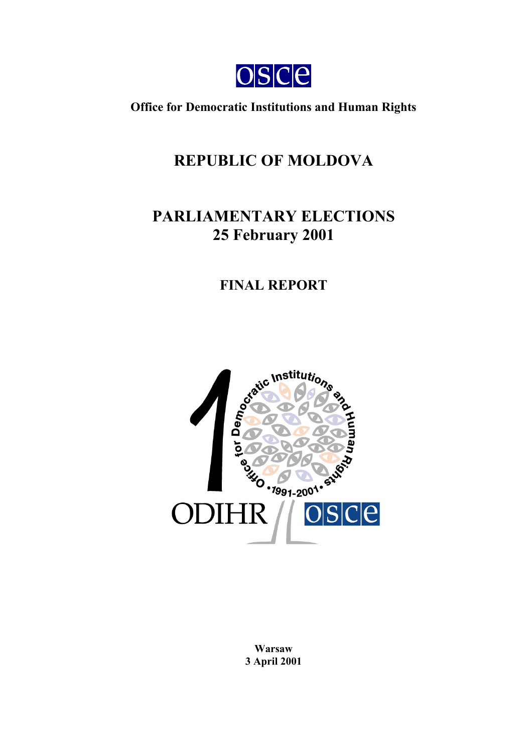

**Office for Democratic Institutions and Human Rights**

# **REPUBLIC OF MOLDOVA**

# **PARLIAMENTARY ELECTIONS 25 February 2001**

## **FINAL REPORT**



**Warsaw 3 April 2001**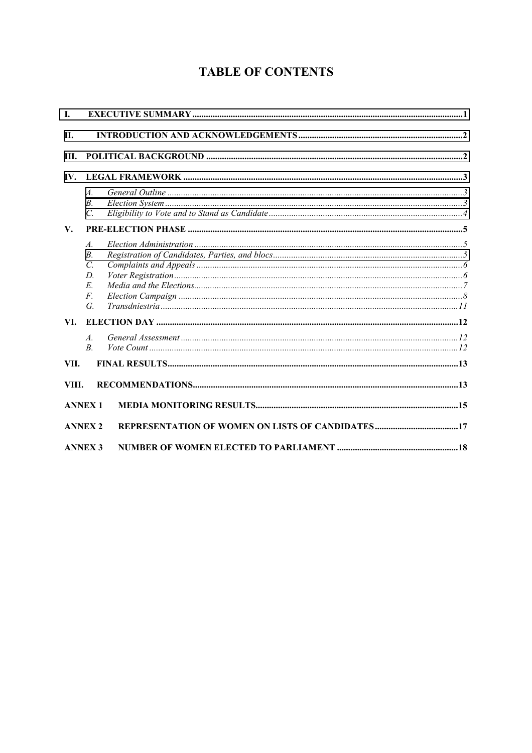## **TABLE OF CONTENTS**

| L     |                                                                                      |  |  |
|-------|--------------------------------------------------------------------------------------|--|--|
| П.    |                                                                                      |  |  |
| III.  |                                                                                      |  |  |
| IV.   |                                                                                      |  |  |
|       | $\mathcal{A}$ .<br>$B_{\cdot}$<br>$\mathcal{C}$ .                                    |  |  |
| V.    |                                                                                      |  |  |
|       | $\mathcal{A}$ .<br>В.<br>$\mathcal{C}$<br>D.<br>$E_{\parallel}$<br>$F_{\cdot}$<br>G. |  |  |
| VI.   |                                                                                      |  |  |
|       | $\overline{A}$<br>$\overline{B}$                                                     |  |  |
| VII.  |                                                                                      |  |  |
| VIII. |                                                                                      |  |  |
|       | <b>ANNEX 1</b>                                                                       |  |  |
|       | <b>ANNEX 2</b>                                                                       |  |  |
|       | <b>ANNEX 3</b>                                                                       |  |  |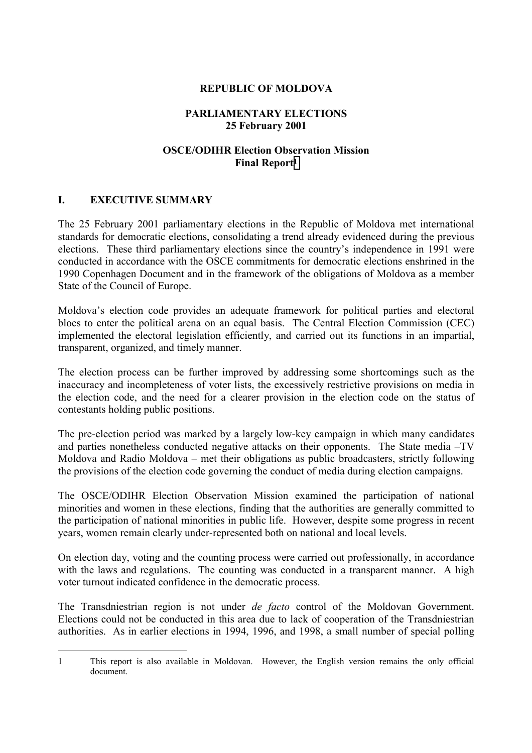#### **REPUBLIC OF MOLDOVA**

### **PARLIAMENTARY ELECTIONS 25 February 2001**

#### **OSCE/ODIHR Election Observation Mission Final Report1**

#### <span id="page-2-0"></span>**I. EXECUTIVE SUMMARY**

 $\overline{a}$ 

The 25 February 2001 parliamentary elections in the Republic of Moldova met international standards for democratic elections, consolidating a trend already evidenced during the previous elections. These third parliamentary elections since the country's independence in 1991 were conducted in accordance with the OSCE commitments for democratic elections enshrined in the 1990 Copenhagen Document and in the framework of the obligations of Moldova as a member State of the Council of Europe.

Moldova's election code provides an adequate framework for political parties and electoral blocs to enter the political arena on an equal basis. The Central Election Commission (CEC) implemented the electoral legislation efficiently, and carried out its functions in an impartial, transparent, organized, and timely manner.

The election process can be further improved by addressing some shortcomings such as the inaccuracy and incompleteness of voter lists, the excessively restrictive provisions on media in the election code, and the need for a clearer provision in the election code on the status of contestants holding public positions.

The pre-election period was marked by a largely low-key campaign in which many candidates and parties nonetheless conducted negative attacks on their opponents. The State media –TV Moldova and Radio Moldova – met their obligations as public broadcasters, strictly following the provisions of the election code governing the conduct of media during election campaigns.

The OSCE/ODIHR Election Observation Mission examined the participation of national minorities and women in these elections, finding that the authorities are generally committed to the participation of national minorities in public life. However, despite some progress in recent years, women remain clearly under-represented both on national and local levels.

On election day, voting and the counting process were carried out professionally, in accordance with the laws and regulations. The counting was conducted in a transparent manner. A high voter turnout indicated confidence in the democratic process.

The Transdniestrian region is not under *de facto* control of the Moldovan Government. Elections could not be conducted in this area due to lack of cooperation of the Transdniestrian authorities. As in earlier elections in 1994, 1996, and 1998, a small number of special polling

<sup>1</sup> This report is also available in Moldovan. However, the English version remains the only official document.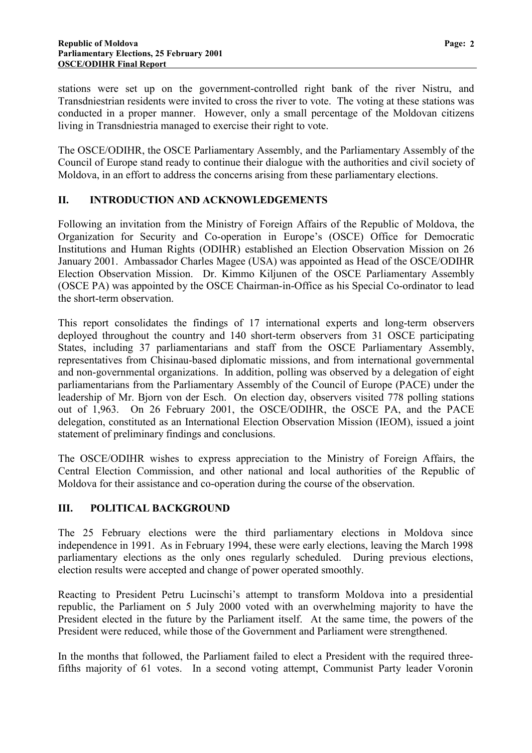<span id="page-3-0"></span>stations were set up on the government-controlled right bank of the river Nistru, and Transdniestrian residents were invited to cross the river to vote. The voting at these stations was conducted in a proper manner. However, only a small percentage of the Moldovan citizens living in Transdniestria managed to exercise their right to vote.

The OSCE/ODIHR, the OSCE Parliamentary Assembly, and the Parliamentary Assembly of the Council of Europe stand ready to continue their dialogue with the authorities and civil society of Moldova, in an effort to address the concerns arising from these parliamentary elections.

#### **II. INTRODUCTION AND ACKNOWLEDGEMENTS**

Following an invitation from the Ministry of Foreign Affairs of the Republic of Moldova, the Organization for Security and Co-operation in Europe's (OSCE) Office for Democratic Institutions and Human Rights (ODIHR) established an Election Observation Mission on 26 January 2001. Ambassador Charles Magee (USA) was appointed as Head of the OSCE/ODIHR Election Observation Mission. Dr. Kimmo Kiljunen of the OSCE Parliamentary Assembly (OSCE PA) was appointed by the OSCE Chairman-in-Office as his Special Co-ordinator to lead the short-term observation.

This report consolidates the findings of 17 international experts and long-term observers deployed throughout the country and 140 short-term observers from 31 OSCE participating States, including 37 parliamentarians and staff from the OSCE Parliamentary Assembly, representatives from Chisinau-based diplomatic missions, and from international governmental and non-governmental organizations. In addition, polling was observed by a delegation of eight parliamentarians from the Parliamentary Assembly of the Council of Europe (PACE) under the leadership of Mr. Bjorn von der Esch. On election day, observers visited 778 polling stations out of 1,963. On 26 February 2001, the OSCE/ODIHR, the OSCE PA, and the PACE delegation, constituted as an International Election Observation Mission (IEOM), issued a joint statement of preliminary findings and conclusions.

The OSCE/ODIHR wishes to express appreciation to the Ministry of Foreign Affairs, the Central Election Commission, and other national and local authorities of the Republic of Moldova for their assistance and co-operation during the course of the observation.

## **III. POLITICAL BACKGROUND**

The 25 February elections were the third parliamentary elections in Moldova since independence in 1991. As in February 1994, these were early elections, leaving the March 1998 parliamentary elections as the only ones regularly scheduled. During previous elections, election results were accepted and change of power operated smoothly.

Reacting to President Petru Lucinschi's attempt to transform Moldova into a presidential republic, the Parliament on 5 July 2000 voted with an overwhelming majority to have the President elected in the future by the Parliament itself. At the same time, the powers of the President were reduced, while those of the Government and Parliament were strengthened.

In the months that followed, the Parliament failed to elect a President with the required threefifths majority of 61 votes. In a second voting attempt, Communist Party leader Voronin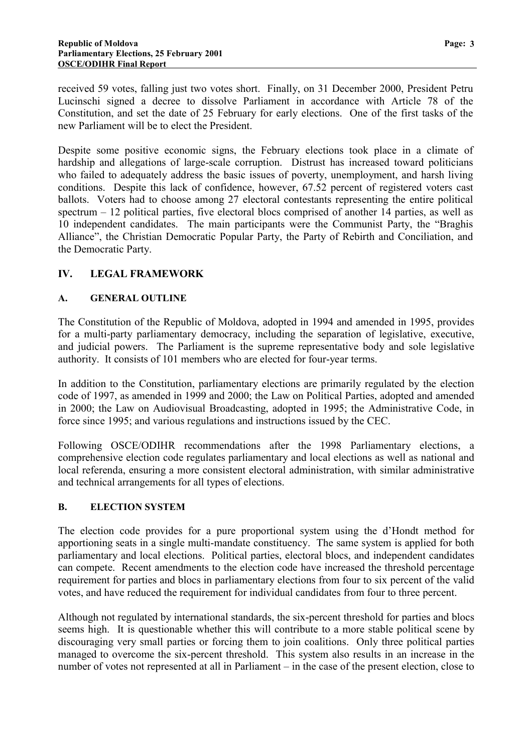<span id="page-4-0"></span>received 59 votes, falling just two votes short. Finally, on 31 December 2000, President Petru Lucinschi signed a decree to dissolve Parliament in accordance with Article 78 of the Constitution, and set the date of 25 February for early elections. One of the first tasks of the new Parliament will be to elect the President.

Despite some positive economic signs, the February elections took place in a climate of hardship and allegations of large-scale corruption. Distrust has increased toward politicians who failed to adequately address the basic issues of poverty, unemployment, and harsh living conditions. Despite this lack of confidence, however, 67.52 percent of registered voters cast ballots. Voters had to choose among 27 electoral contestants representing the entire political spectrum – 12 political parties, five electoral blocs comprised of another 14 parties, as well as 10 independent candidates. The main participants were the Communist Party, the "Braghis Alliance", the Christian Democratic Popular Party, the Party of Rebirth and Conciliation, and the Democratic Party.

## **IV. LEGAL FRAMEWORK**

#### **A. GENERAL OUTLINE**

The Constitution of the Republic of Moldova, adopted in 1994 and amended in 1995, provides for a multi-party parliamentary democracy, including the separation of legislative, executive, and judicial powers. The Parliament is the supreme representative body and sole legislative authority. It consists of 101 members who are elected for four-year terms.

In addition to the Constitution, parliamentary elections are primarily regulated by the election code of 1997, as amended in 1999 and 2000; the Law on Political Parties, adopted and amended in 2000; the Law on Audiovisual Broadcasting, adopted in 1995; the Administrative Code, in force since 1995; and various regulations and instructions issued by the CEC.

Following OSCE/ODIHR recommendations after the 1998 Parliamentary elections, a comprehensive election code regulates parliamentary and local elections as well as national and local referenda, ensuring a more consistent electoral administration, with similar administrative and technical arrangements for all types of elections.

#### **B. ELECTION SYSTEM**

The election code provides for a pure proportional system using the d'Hondt method for apportioning seats in a single multi-mandate constituency. The same system is applied for both parliamentary and local elections. Political parties, electoral blocs, and independent candidates can compete. Recent amendments to the election code have increased the threshold percentage requirement for parties and blocs in parliamentary elections from four to six percent of the valid votes, and have reduced the requirement for individual candidates from four to three percent.

Although not regulated by international standards, the six-percent threshold for parties and blocs seems high. It is questionable whether this will contribute to a more stable political scene by discouraging very small parties or forcing them to join coalitions. Only three political parties managed to overcome the six-percent threshold. This system also results in an increase in the number of votes not represented at all in Parliament – in the case of the present election, close to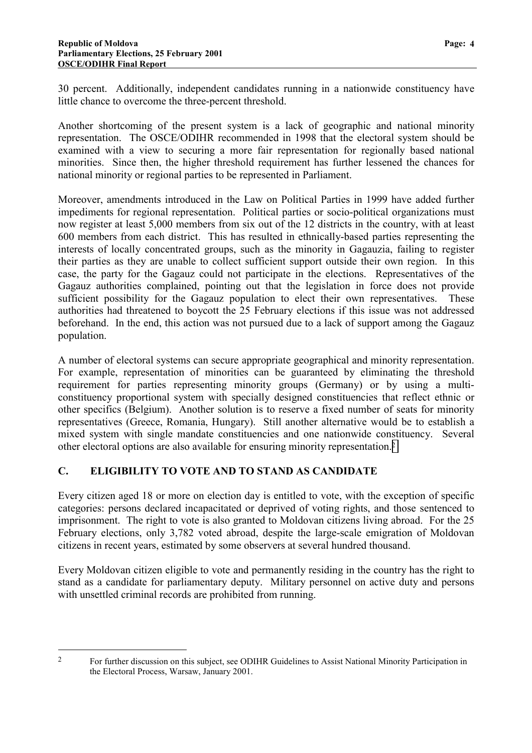<span id="page-5-0"></span>30 percent. Additionally, independent candidates running in a nationwide constituency have little chance to overcome the three-percent threshold.

Another shortcoming of the present system is a lack of geographic and national minority representation. The OSCE/ODIHR recommended in 1998 that the electoral system should be examined with a view to securing a more fair representation for regionally based national minorities. Since then, the higher threshold requirement has further lessened the chances for national minority or regional parties to be represented in Parliament.

Moreover, amendments introduced in the Law on Political Parties in 1999 have added further impediments for regional representation. Political parties or socio-political organizations must now register at least 5,000 members from six out of the 12 districts in the country, with at least 600 members from each district. This has resulted in ethnically-based parties representing the interests of locally concentrated groups, such as the minority in Gagauzia, failing to register their parties as they are unable to collect sufficient support outside their own region. In this case, the party for the Gagauz could not participate in the elections. Representatives of the Gagauz authorities complained, pointing out that the legislation in force does not provide sufficient possibility for the Gagauz population to elect their own representatives. These authorities had threatened to boycott the 25 February elections if this issue was not addressed beforehand. In the end, this action was not pursued due to a lack of support among the Gagauz population.

A number of electoral systems can secure appropriate geographical and minority representation. For example, representation of minorities can be guaranteed by eliminating the threshold requirement for parties representing minority groups (Germany) or by using a multiconstituency proportional system with specially designed constituencies that reflect ethnic or other specifics (Belgium). Another solution is to reserve a fixed number of seats for minority representatives (Greece, Romania, Hungary). Still another alternative would be to establish a mixed system with single mandate constituencies and one nationwide constituency. Several other electoral options are also available for ensuring minority representation.2

## **C. ELIGIBILITY TO VOTE AND TO STAND AS CANDIDATE**

 $\overline{a}$ 

Every citizen aged 18 or more on election day is entitled to vote, with the exception of specific categories: persons declared incapacitated or deprived of voting rights, and those sentenced to imprisonment. The right to vote is also granted to Moldovan citizens living abroad. For the 25 February elections, only 3,782 voted abroad, despite the large-scale emigration of Moldovan citizens in recent years, estimated by some observers at several hundred thousand.

Every Moldovan citizen eligible to vote and permanently residing in the country has the right to stand as a candidate for parliamentary deputy. Military personnel on active duty and persons with unsettled criminal records are prohibited from running.

<sup>&</sup>lt;sup>2</sup> For further discussion on this subject, see ODIHR Guidelines to Assist National Minority Participation in the Electoral Process, Warsaw, January 2001.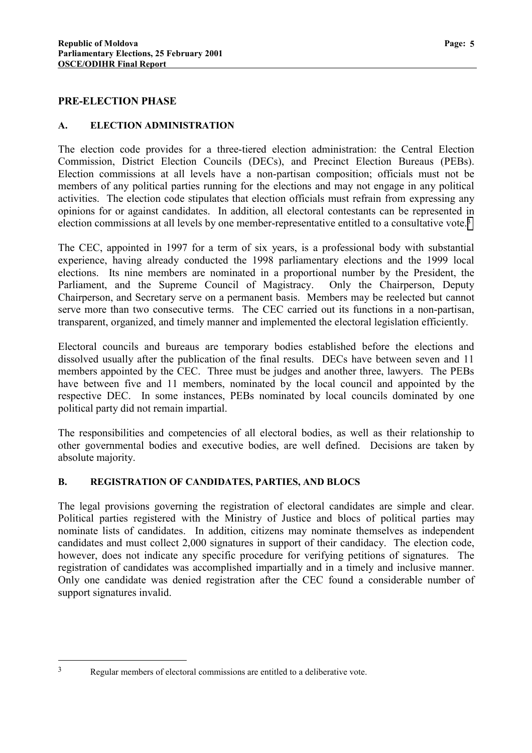#### <span id="page-6-0"></span>**PRE-ELECTION PHASE**

#### **A. ELECTION ADMINISTRATION**

The election code provides for a three-tiered election administration: the Central Election Commission, District Election Councils (DECs), and Precinct Election Bureaus (PEBs). Election commissions at all levels have a non-partisan composition; officials must not be members of any political parties running for the elections and may not engage in any political activities. The election code stipulates that election officials must refrain from expressing any opinions for or against candidates. In addition, all electoral contestants can be represented in election commissions at all levels by one member-representative entitled to a consultative vote.3

The CEC, appointed in 1997 for a term of six years, is a professional body with substantial experience, having already conducted the 1998 parliamentary elections and the 1999 local elections. Its nine members are nominated in a proportional number by the President, the Parliament, and the Supreme Council of Magistracy. Only the Chairperson, Deputy Chairperson, and Secretary serve on a permanent basis. Members may be reelected but cannot serve more than two consecutive terms. The CEC carried out its functions in a non-partisan, transparent, organized, and timely manner and implemented the electoral legislation efficiently.

Electoral councils and bureaus are temporary bodies established before the elections and dissolved usually after the publication of the final results. DECs have between seven and 11 members appointed by the CEC. Three must be judges and another three, lawyers. The PEBs have between five and 11 members, nominated by the local council and appointed by the respective DEC. In some instances, PEBs nominated by local councils dominated by one political party did not remain impartial.

The responsibilities and competencies of all electoral bodies, as well as their relationship to other governmental bodies and executive bodies, are well defined. Decisions are taken by absolute majority.

#### **B. REGISTRATION OF CANDIDATES, PARTIES, AND BLOCS**

The legal provisions governing the registration of electoral candidates are simple and clear. Political parties registered with the Ministry of Justice and blocs of political parties may nominate lists of candidates. In addition, citizens may nominate themselves as independent candidates and must collect 2,000 signatures in support of their candidacy. The election code, however, does not indicate any specific procedure for verifying petitions of signatures. The registration of candidates was accomplished impartially and in a timely and inclusive manner. Only one candidate was denied registration after the CEC found a considerable number of support signatures invalid.

 $\overline{a}$ 

<sup>3</sup> Regular members of electoral commissions are entitled to a deliberative vote.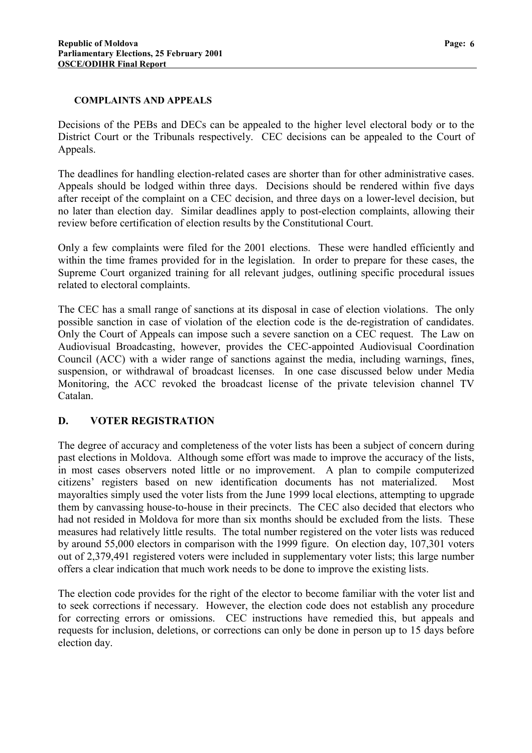#### **COMPLAINTS AND APPEALS**

Decisions of the PEBs and DECs can be appealed to the higher level electoral body or to the District Court or the Tribunals respectively. CEC decisions can be appealed to the Court of Appeals.

The deadlines for handling election-related cases are shorter than for other administrative cases. Appeals should be lodged within three days. Decisions should be rendered within five days after receipt of the complaint on a CEC decision, and three days on a lower-level decision, but no later than election day. Similar deadlines apply to post-election complaints, allowing their review before certification of election results by the Constitutional Court.

Only a few complaints were filed for the 2001 elections. These were handled efficiently and within the time frames provided for in the legislation. In order to prepare for these cases, the Supreme Court organized training for all relevant judges, outlining specific procedural issues related to electoral complaints.

The CEC has a small range of sanctions at its disposal in case of election violations. The only possible sanction in case of violation of the election code is the de-registration of candidates. Only the Court of Appeals can impose such a severe sanction on a CEC request. The Law on Audiovisual Broadcasting, however, provides the CEC-appointed Audiovisual Coordination Council (ACC) with a wider range of sanctions against the media, including warnings, fines, suspension, or withdrawal of broadcast licenses. In one case discussed below under Media Monitoring, the ACC revoked the broadcast license of the private television channel TV Catalan.

## **D. VOTER REGISTRATION**

The degree of accuracy and completeness of the voter lists has been a subject of concern during past elections in Moldova. Although some effort was made to improve the accuracy of the lists, in most cases observers noted little or no improvement. A plan to compile computerized citizens' registers based on new identification documents has not materialized. Most mayoralties simply used the voter lists from the June 1999 local elections, attempting to upgrade them by canvassing house-to-house in their precincts. The CEC also decided that electors who had not resided in Moldova for more than six months should be excluded from the lists. These measures had relatively little results. The total number registered on the voter lists was reduced by around 55,000 electors in comparison with the 1999 figure. On election day, 107,301 voters out of 2,379,491 registered voters were included in supplementary voter lists; this large number offers a clear indication that much work needs to be done to improve the existing lists.

The election code provides for the right of the elector to become familiar with the voter list and to seek corrections if necessary. However, the election code does not establish any procedure for correcting errors or omissions. CEC instructions have remedied this, but appeals and requests for inclusion, deletions, or corrections can only be done in person up to 15 days before election day.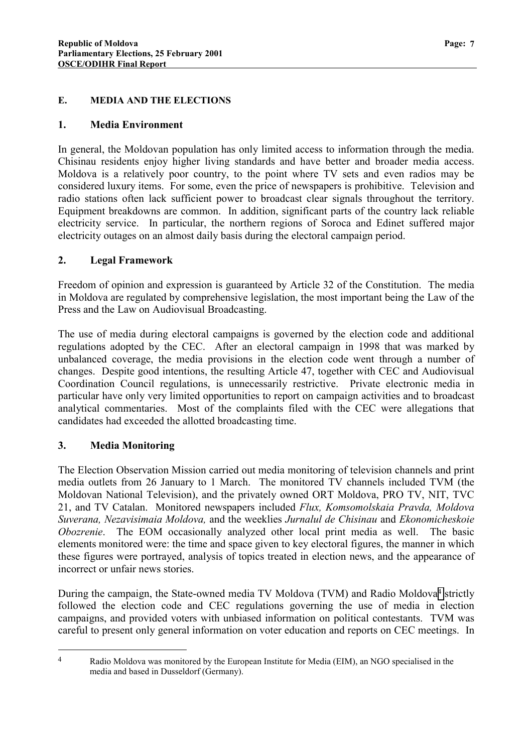#### **E. MEDIA AND THE ELECTIONS**

#### **1. Media Environment**

In general, the Moldovan population has only limited access to information through the media. Chisinau residents enjoy higher living standards and have better and broader media access. Moldova is a relatively poor country, to the point where TV sets and even radios may be considered luxury items. For some, even the price of newspapers is prohibitive. Television and radio stations often lack sufficient power to broadcast clear signals throughout the territory. Equipment breakdowns are common. In addition, significant parts of the country lack reliable electricity service. In particular, the northern regions of Soroca and Edinet suffered major electricity outages on an almost daily basis during the electoral campaign period.

#### **2. Legal Framework**

Freedom of opinion and expression is guaranteed by Article 32 of the Constitution. The media in Moldova are regulated by comprehensive legislation, the most important being the Law of the Press and the Law on Audiovisual Broadcasting.

The use of media during electoral campaigns is governed by the election code and additional regulations adopted by the CEC. After an electoral campaign in 1998 that was marked by unbalanced coverage, the media provisions in the election code went through a number of changes. Despite good intentions, the resulting Article 47, together with CEC and Audiovisual Coordination Council regulations, is unnecessarily restrictive. Private electronic media in particular have only very limited opportunities to report on campaign activities and to broadcast analytical commentaries. Most of the complaints filed with the CEC were allegations that candidates had exceeded the allotted broadcasting time.

## **3. Media Monitoring**

 $\overline{a}$ 

The Election Observation Mission carried out media monitoring of television channels and print media outlets from 26 January to 1 March. The monitored TV channels included TVM (the Moldovan National Television), and the privately owned ORT Moldova, PRO TV, NIT, TVC 21, and TV Catalan. Monitored newspapers included *Flux, Komsomolskaia Pravda, Moldova Suverana, Nezavisimaia Moldova,* and the weeklies *Jurnalul de Chisinau* and *Ekonomicheskoie Obozrenie*. The EOM occasionally analyzed other local print media as well. The basic elements monitored were: the time and space given to key electoral figures, the manner in which these figures were portrayed, analysis of topics treated in election news, and the appearance of incorrect or unfair news stories.

During the campaign, the State-owned media TV Moldova (TVM) and Radio Moldova<sup>4</sup> strictly followed the election code and CEC regulations governing the use of media in election campaigns, and provided voters with unbiased information on political contestants. TVM was careful to present only general information on voter education and reports on CEC meetings. In

<sup>4</sup> Radio Moldova was monitored by the European Institute for Media (EIM), an NGO specialised in the media and based in Dusseldorf (Germany).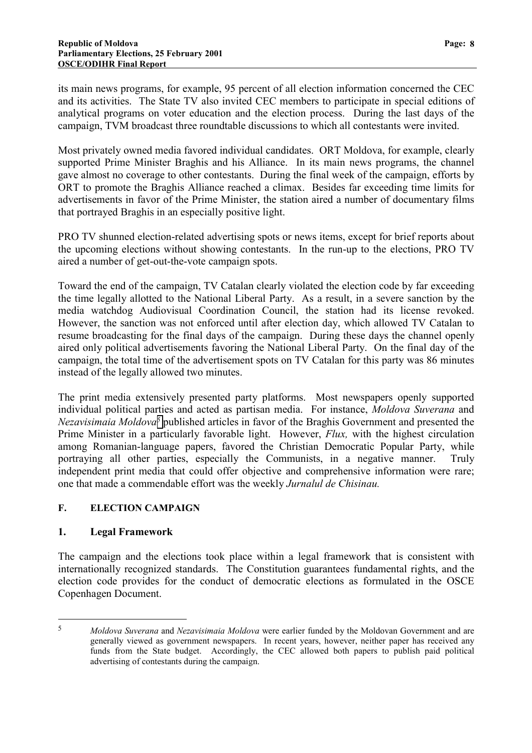its main news programs, for example, 95 percent of all election information concerned the CEC and its activities. The State TV also invited CEC members to participate in special editions of analytical programs on voter education and the election process. During the last days of the campaign, TVM broadcast three roundtable discussions to which all contestants were invited.

Most privately owned media favored individual candidates. ORT Moldova, for example, clearly supported Prime Minister Braghis and his Alliance. In its main news programs, the channel gave almost no coverage to other contestants. During the final week of the campaign, efforts by ORT to promote the Braghis Alliance reached a climax. Besides far exceeding time limits for advertisements in favor of the Prime Minister, the station aired a number of documentary films that portrayed Braghis in an especially positive light.

PRO TV shunned election-related advertising spots or news items, except for brief reports about the upcoming elections without showing contestants. In the run-up to the elections, PRO TV aired a number of get-out-the-vote campaign spots.

Toward the end of the campaign, TV Catalan clearly violated the election code by far exceeding the time legally allotted to the National Liberal Party. As a result, in a severe sanction by the media watchdog Audiovisual Coordination Council, the station had its license revoked. However, the sanction was not enforced until after election day, which allowed TV Catalan to resume broadcasting for the final days of the campaign. During these days the channel openly aired only political advertisements favoring the National Liberal Party. On the final day of the campaign, the total time of the advertisement spots on TV Catalan for this party was 86 minutes instead of the legally allowed two minutes.

The print media extensively presented party platforms. Most newspapers openly supported individual political parties and acted as partisan media. For instance, *Moldova Suverana* and *Nezavisimaia Moldova5* published articles in favor of the Braghis Government and presented the Prime Minister in a particularly favorable light. However, *Flux,* with the highest circulation among Romanian-language papers, favored the Christian Democratic Popular Party, while portraying all other parties, especially the Communists, in a negative manner. Truly independent print media that could offer objective and comprehensive information were rare; one that made a commendable effort was the weekly *Jurnalul de Chisinau.*

## **F. ELECTION CAMPAIGN**

#### **1. Legal Framework**

 $\overline{a}$ 

The campaign and the elections took place within a legal framework that is consistent with internationally recognized standards. The Constitution guarantees fundamental rights, and the election code provides for the conduct of democratic elections as formulated in the OSCE Copenhagen Document.

<sup>5</sup> *Moldova Suverana* and *Nezavisimaia Moldova* were earlier funded by the Moldovan Government and are generally viewed as government newspapers. In recent years, however, neither paper has received any funds from the State budget. Accordingly, the CEC allowed both papers to publish paid political advertising of contestants during the campaign.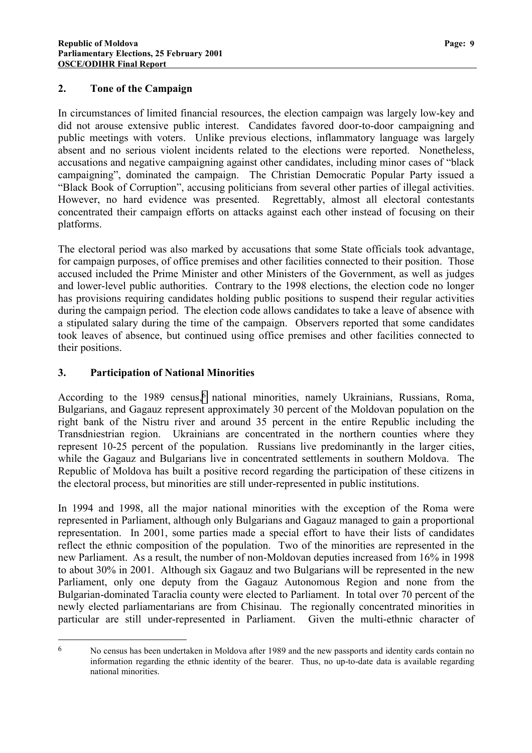#### **2. Tone of the Campaign**

In circumstances of limited financial resources, the election campaign was largely low-key and did not arouse extensive public interest. Candidates favored door-to-door campaigning and public meetings with voters. Unlike previous elections, inflammatory language was largely absent and no serious violent incidents related to the elections were reported. Nonetheless, accusations and negative campaigning against other candidates, including minor cases of "black campaigning", dominated the campaign. The Christian Democratic Popular Party issued a "Black Book of Corruption", accusing politicians from several other parties of illegal activities. However, no hard evidence was presented. Regrettably, almost all electoral contestants concentrated their campaign efforts on attacks against each other instead of focusing on their platforms.

The electoral period was also marked by accusations that some State officials took advantage, for campaign purposes, of office premises and other facilities connected to their position. Those accused included the Prime Minister and other Ministers of the Government, as well as judges and lower-level public authorities. Contrary to the 1998 elections, the election code no longer has provisions requiring candidates holding public positions to suspend their regular activities during the campaign period. The election code allows candidates to take a leave of absence with a stipulated salary during the time of the campaign. Observers reported that some candidates took leaves of absence, but continued using office premises and other facilities connected to their positions.

## **3. Participation of National Minorities**

According to the 1989 census,<sup>6</sup> national minorities, namely Ukrainians, Russians, Roma, Bulgarians, and Gagauz represent approximately 30 percent of the Moldovan population on the right bank of the Nistru river and around 35 percent in the entire Republic including the Transdniestrian region. Ukrainians are concentrated in the northern counties where they represent 10-25 percent of the population. Russians live predominantly in the larger cities, while the Gagauz and Bulgarians live in concentrated settlements in southern Moldova. The Republic of Moldova has built a positive record regarding the participation of these citizens in the electoral process, but minorities are still under-represented in public institutions.

In 1994 and 1998, all the major national minorities with the exception of the Roma were represented in Parliament, although only Bulgarians and Gagauz managed to gain a proportional representation. In 2001, some parties made a special effort to have their lists of candidates reflect the ethnic composition of the population. Two of the minorities are represented in the new Parliament. As a result, the number of non-Moldovan deputies increased from 16% in 1998 to about 30% in 2001. Although six Gagauz and two Bulgarians will be represented in the new Parliament, only one deputy from the Gagauz Autonomous Region and none from the Bulgarian-dominated Taraclia county were elected to Parliament. In total over 70 percent of the newly elected parliamentarians are from Chisinau. The regionally concentrated minorities in particular are still under-represented in Parliament. Given the multi-ethnic character of

 $\overline{a}$ 6 No census has been undertaken in Moldova after 1989 and the new passports and identity cards contain no information regarding the ethnic identity of the bearer. Thus, no up-to-date data is available regarding national minorities.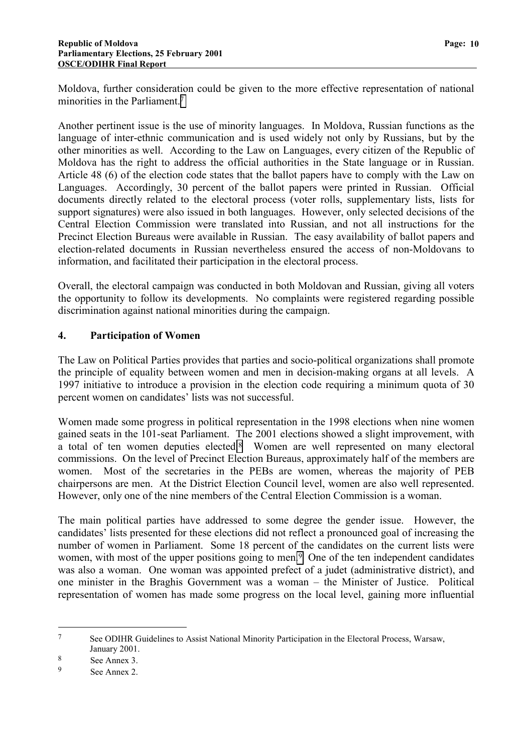Moldova, further consideration could be given to the more effective representation of national minorities in the Parliament.<sup>7</sup>

Another pertinent issue is the use of minority languages. In Moldova, Russian functions as the language of inter-ethnic communication and is used widely not only by Russians, but by the other minorities as well. According to the Law on Languages, every citizen of the Republic of Moldova has the right to address the official authorities in the State language or in Russian. Article 48 (6) of the election code states that the ballot papers have to comply with the Law on Languages. Accordingly, 30 percent of the ballot papers were printed in Russian. Official documents directly related to the electoral process (voter rolls, supplementary lists, lists for support signatures) were also issued in both languages. However, only selected decisions of the Central Election Commission were translated into Russian, and not all instructions for the Precinct Election Bureaus were available in Russian. The easy availability of ballot papers and election-related documents in Russian nevertheless ensured the access of non-Moldovans to information, and facilitated their participation in the electoral process.

Overall, the electoral campaign was conducted in both Moldovan and Russian, giving all voters the opportunity to follow its developments. No complaints were registered regarding possible discrimination against national minorities during the campaign.

## **4. Participation of Women**

The Law on Political Parties provides that parties and socio-political organizations shall promote the principle of equality between women and men in decision-making organs at all levels. A 1997 initiative to introduce a provision in the election code requiring a minimum quota of 30 percent women on candidates' lists was not successful.

Women made some progress in political representation in the 1998 elections when nine women gained seats in the 101-seat Parliament. The 2001 elections showed a slight improvement, with a total of ten women deputies elected.8 Women are well represented on many electoral commissions. On the level of Precinct Election Bureaus, approximately half of the members are women. Most of the secretaries in the PEBs are women, whereas the majority of PEB chairpersons are men. At the District Election Council level, women are also well represented. However, only one of the nine members of the Central Election Commission is a woman.

The main political parties have addressed to some degree the gender issue. However, the candidates' lists presented for these elections did not reflect a pronounced goal of increasing the number of women in Parliament. Some 18 percent of the candidates on the current lists were women, with most of the upper positions going to men.<sup>9</sup> One of the ten independent candidates was also a woman. One woman was appointed prefect of a judet (administrative district), and one minister in the Braghis Government was a woman – the Minister of Justice. Political representation of women has made some progress on the local level, gaining more influential

 $\overline{a}$ 

<sup>7</sup> See ODIHR Guidelines to Assist National Minority Participation in the Electoral Process, Warsaw, January 2001.

 $\begin{array}{c} 8 \\ 9 \end{array}$  See Annex 3.

See Annex 2.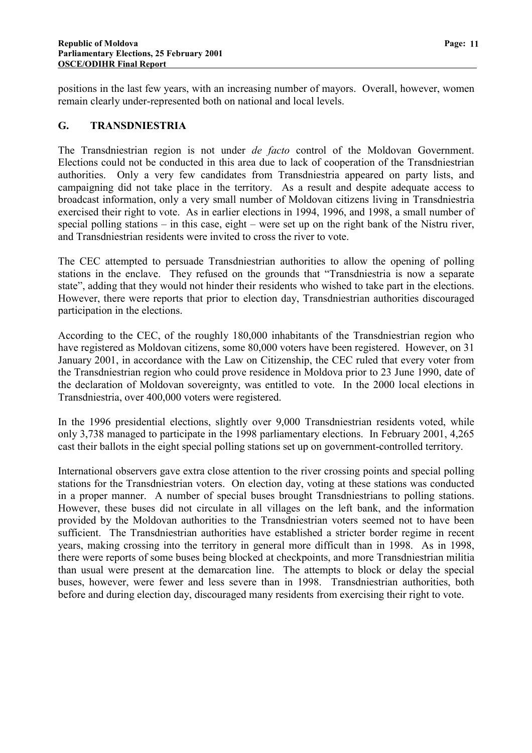positions in the last few years, with an increasing number of mayors. Overall, however, women remain clearly under-represented both on national and local levels.

#### **G. TRANSDNIESTRIA**

The Transdniestrian region is not under *de facto* control of the Moldovan Government. Elections could not be conducted in this area due to lack of cooperation of the Transdniestrian authorities. Only a very few candidates from Transdniestria appeared on party lists, and campaigning did not take place in the territory. As a result and despite adequate access to broadcast information, only a very small number of Moldovan citizens living in Transdniestria exercised their right to vote. As in earlier elections in 1994, 1996, and 1998, a small number of special polling stations – in this case, eight – were set up on the right bank of the Nistru river, and Transdniestrian residents were invited to cross the river to vote.

The CEC attempted to persuade Transdniestrian authorities to allow the opening of polling stations in the enclave. They refused on the grounds that "Transdniestria is now a separate state", adding that they would not hinder their residents who wished to take part in the elections. However, there were reports that prior to election day, Transdniestrian authorities discouraged participation in the elections.

According to the CEC, of the roughly 180,000 inhabitants of the Transdniestrian region who have registered as Moldovan citizens, some 80,000 voters have been registered. However, on 31 January 2001, in accordance with the Law on Citizenship, the CEC ruled that every voter from the Transdniestrian region who could prove residence in Moldova prior to 23 June 1990, date of the declaration of Moldovan sovereignty, was entitled to vote. In the 2000 local elections in Transdniestria, over 400,000 voters were registered.

In the 1996 presidential elections, slightly over 9,000 Transdniestrian residents voted, while only 3,738 managed to participate in the 1998 parliamentary elections. In February 2001, 4,265 cast their ballots in the eight special polling stations set up on government-controlled territory.

International observers gave extra close attention to the river crossing points and special polling stations for the Transdniestrian voters. On election day, voting at these stations was conducted in a proper manner. A number of special buses brought Transdniestrians to polling stations. However, these buses did not circulate in all villages on the left bank, and the information provided by the Moldovan authorities to the Transdniestrian voters seemed not to have been sufficient. The Transdniestrian authorities have established a stricter border regime in recent years, making crossing into the territory in general more difficult than in 1998. As in 1998, there were reports of some buses being blocked at checkpoints, and more Transdniestrian militia than usual were present at the demarcation line. The attempts to block or delay the special buses, however, were fewer and less severe than in 1998. Transdniestrian authorities, both before and during election day, discouraged many residents from exercising their right to vote.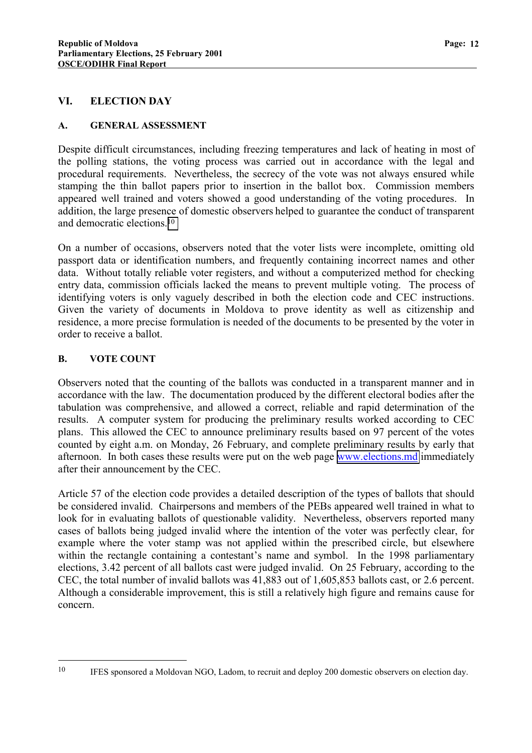#### **VI. ELECTION DAY**

#### **A. GENERAL ASSESSMENT**

Despite difficult circumstances, including freezing temperatures and lack of heating in most of the polling stations, the voting process was carried out in accordance with the legal and procedural requirements. Nevertheless, the secrecy of the vote was not always ensured while stamping the thin ballot papers prior to insertion in the ballot box. Commission members appeared well trained and voters showed a good understanding of the voting procedures. In addition, the large presence of domestic observers helped to guarantee the conduct of transparent and democratic elections.10

On a number of occasions, observers noted that the voter lists were incomplete, omitting old passport data or identification numbers, and frequently containing incorrect names and other data. Without totally reliable voter registers, and without a computerized method for checking entry data, commission officials lacked the means to prevent multiple voting. The process of identifying voters is only vaguely described in both the election code and CEC instructions. Given the variety of documents in Moldova to prove identity as well as citizenship and residence, a more precise formulation is needed of the documents to be presented by the voter in order to receive a ballot.

#### **B. VOTE COUNT**

 $\overline{a}$ 

Observers noted that the counting of the ballots was conducted in a transparent manner and in accordance with the law. The documentation produced by the different electoral bodies after the tabulation was comprehensive, and allowed a correct, reliable and rapid determination of the results. A computer system for producing the preliminary results worked according to CEC plans. This allowed the CEC to announce preliminary results based on 97 percent of the votes counted by eight a.m. on Monday, 26 February, and complete preliminary results by early that afternoon. In both cases these results were put on the web page [www.elections.md](http://www.elections.md/) immediately after their announcement by the CEC.

Article 57 of the election code provides a detailed description of the types of ballots that should be considered invalid. Chairpersons and members of the PEBs appeared well trained in what to look for in evaluating ballots of questionable validity. Nevertheless, observers reported many cases of ballots being judged invalid where the intention of the voter was perfectly clear, for example where the voter stamp was not applied within the prescribed circle, but elsewhere within the rectangle containing a contestant's name and symbol. In the 1998 parliamentary elections, 3.42 percent of all ballots cast were judged invalid. On 25 February, according to the CEC, the total number of invalid ballots was 41,883 out of 1,605,853 ballots cast, or 2.6 percent. Although a considerable improvement, this is still a relatively high figure and remains cause for concern.

<sup>&</sup>lt;sup>10</sup> IFES sponsored a Moldovan NGO, Ladom, to recruit and deploy 200 domestic observers on election day.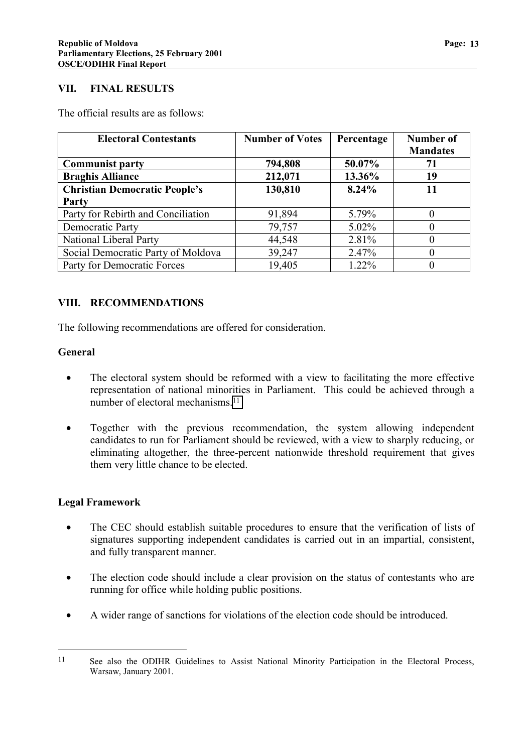#### **VII. FINAL RESULTS**

The official results are as follows:

| <b>Electoral Contestants</b>         | <b>Number of Votes</b> | Percentage | Number of<br><b>Mandates</b> |
|--------------------------------------|------------------------|------------|------------------------------|
| <b>Communist party</b>               | 794,808                | 50.07%     | 71                           |
| <b>Braghis Alliance</b>              | 212,071                | 13.36%     | 19                           |
| <b>Christian Democratic People's</b> | 130,810                | 8.24%      | 11                           |
| Party                                |                        |            |                              |
| Party for Rebirth and Conciliation   | 91,894                 | 5.79%      |                              |
| Democratic Party                     | 79,757                 | $5.02\%$   |                              |
| National Liberal Party               | 44,548                 | 2.81%      |                              |
| Social Democratic Party of Moldova   | 39,247                 | 2.47%      |                              |
| Party for Democratic Forces          | 19,405                 | 1.22%      |                              |

## **VIII. RECOMMENDATIONS**

The following recommendations are offered for consideration.

#### **General**

- The electoral system should be reformed with a view to facilitating the more effective representation of national minorities in Parliament. This could be achieved through a number of electoral mechanisms.11
- Together with the previous recommendation, the system allowing independent candidates to run for Parliament should be reviewed, with a view to sharply reducing, or eliminating altogether, the three-percent nationwide threshold requirement that gives them very little chance to be elected.

#### **Legal Framework**

 $\overline{a}$ 

- The CEC should establish suitable procedures to ensure that the verification of lists of signatures supporting independent candidates is carried out in an impartial, consistent, and fully transparent manner.
- The election code should include a clear provision on the status of contestants who are running for office while holding public positions.
- A wider range of sanctions for violations of the election code should be introduced.

<sup>&</sup>lt;sup>11</sup> See also the ODIHR Guidelines to Assist National Minority Participation in the Electoral Process, Warsaw, January 2001.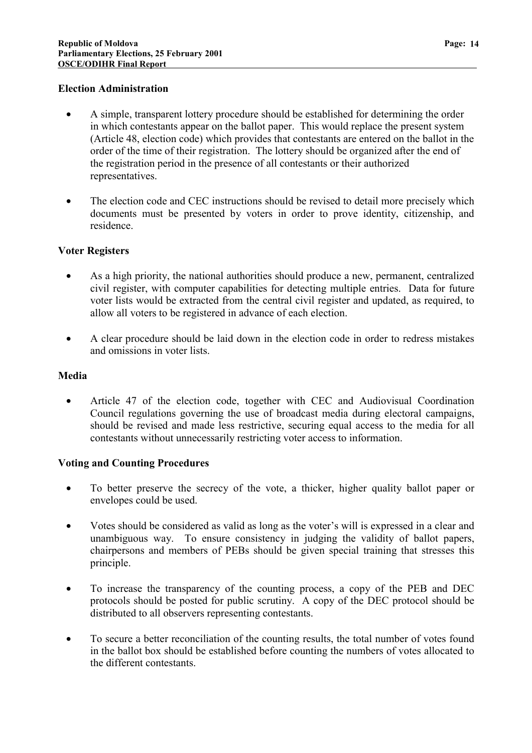#### **Election Administration**

- A simple, transparent lottery procedure should be established for determining the order in which contestants appear on the ballot paper. This would replace the present system (Article 48, election code) which provides that contestants are entered on the ballot in the order of the time of their registration. The lottery should be organized after the end of the registration period in the presence of all contestants or their authorized representatives.
- The election code and CEC instructions should be revised to detail more precisely which documents must be presented by voters in order to prove identity, citizenship, and residence.

#### **Voter Registers**

- As a high priority, the national authorities should produce a new, permanent, centralized civil register, with computer capabilities for detecting multiple entries. Data for future voter lists would be extracted from the central civil register and updated, as required, to allow all voters to be registered in advance of each election.
- A clear procedure should be laid down in the election code in order to redress mistakes and omissions in voter lists.

#### **Media**

• Article 47 of the election code, together with CEC and Audiovisual Coordination Council regulations governing the use of broadcast media during electoral campaigns, should be revised and made less restrictive, securing equal access to the media for all contestants without unnecessarily restricting voter access to information.

#### **Voting and Counting Procedures**

- To better preserve the secrecy of the vote, a thicker, higher quality ballot paper or envelopes could be used.
- Votes should be considered as valid as long as the voter's will is expressed in a clear and unambiguous way. To ensure consistency in judging the validity of ballot papers, chairpersons and members of PEBs should be given special training that stresses this principle.
- To increase the transparency of the counting process, a copy of the PEB and DEC protocols should be posted for public scrutiny. A copy of the DEC protocol should be distributed to all observers representing contestants.
- To secure a better reconciliation of the counting results, the total number of votes found in the ballot box should be established before counting the numbers of votes allocated to the different contestants.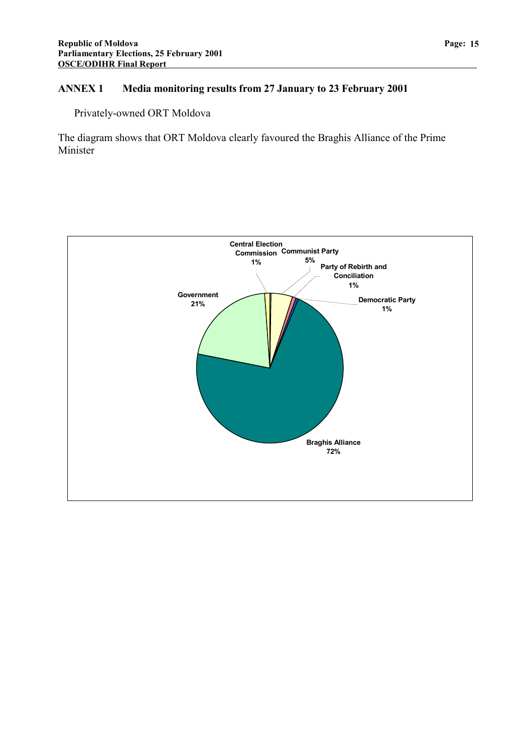## **ANNEX 1 Media monitoring results from 27 January to 23 February 2001**

Privately-owned ORT Moldova

The diagram shows that ORT Moldova clearly favoured the Braghis Alliance of the Prime Minister

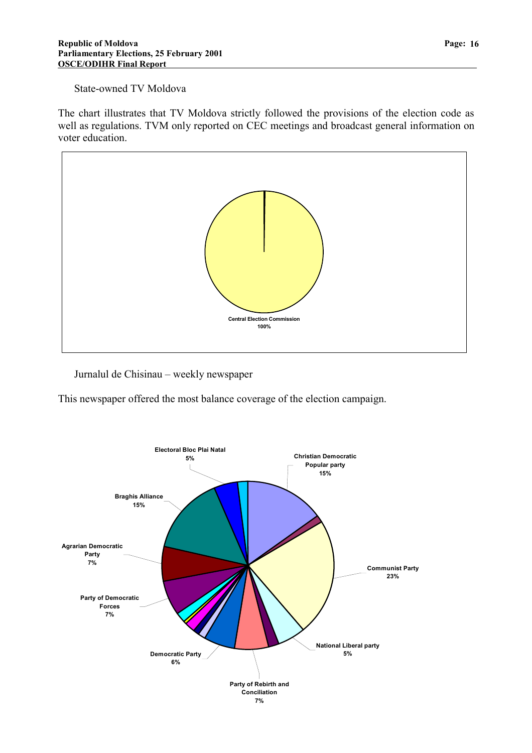#### State-owned TV Moldova

The chart illustrates that TV Moldova strictly followed the provisions of the election code as well as regulations. TVM only reported on CEC meetings and broadcast general information on voter education.



Jurnalul de Chisinau – weekly newspaper

This newspaper offered the most balance coverage of the election campaign.

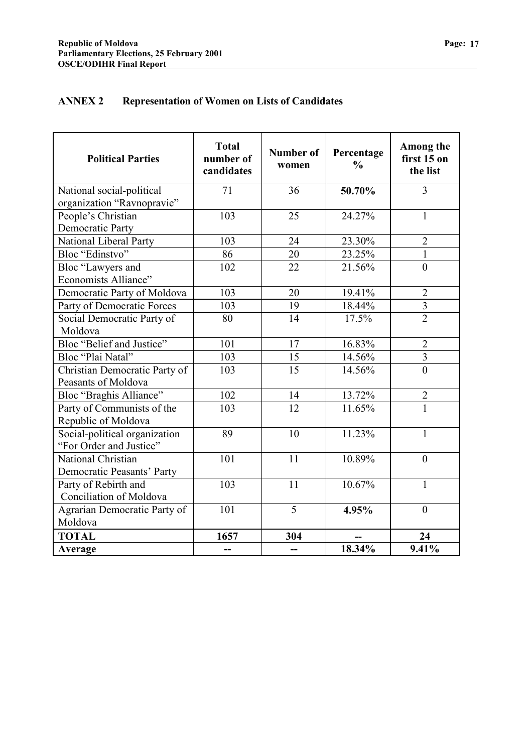## **ANNEX 2 Representation of Women on Lists of Candidates**

| <b>Political Parties</b>                                 | <b>Total</b><br>number of<br>candidates | <b>Number of</b><br>women | Percentage<br>$\frac{0}{0}$ | Among the<br>first 15 on<br>the list |
|----------------------------------------------------------|-----------------------------------------|---------------------------|-----------------------------|--------------------------------------|
| National social-political                                | 71                                      | 36                        | 50.70%                      | $\overline{3}$                       |
| organization "Ravnopravie"                               |                                         |                           |                             |                                      |
| People's Christian                                       | 103                                     | 25                        | 24.27%                      | $\mathbf{1}$                         |
| <b>Democratic Party</b>                                  |                                         |                           |                             |                                      |
| National Liberal Party                                   | 103                                     | 24                        | 23.30%                      | $\overline{2}$                       |
| Bloc "Edinstvo"                                          | 86                                      | 20                        | 23.25%                      | $\mathbf{1}$                         |
| Bloc "Lawyers and                                        | 102                                     | 22                        | 21.56%                      | $\overline{0}$                       |
| Economists Alliance"                                     |                                         |                           |                             |                                      |
| Democratic Party of Moldova                              | 103                                     | 20                        | 19.41%                      | $\overline{2}$                       |
| Party of Democratic Forces                               | 103                                     | 19                        | 18.44%                      | $\overline{3}$                       |
| Social Democratic Party of                               | 80                                      | 14                        | 17.5%                       | $\overline{2}$                       |
| Moldova                                                  |                                         |                           |                             |                                      |
| Bloc "Belief and Justice"                                | 101                                     | 17                        | 16.83%                      | $\overline{2}$                       |
| Bloc "Plai Natal"                                        | 103                                     | 15                        | 14.56%                      | $\overline{3}$                       |
| Christian Democratic Party of<br>Peasants of Moldova     | 103                                     | 15                        | 14.56%                      | $\overline{0}$                       |
| Bloc "Braghis Alliance"                                  | 102                                     | 14                        | 13.72%                      | $\overline{2}$                       |
| Party of Communists of the                               | 103                                     | 12                        | 11.65%                      | $\mathbf{1}$                         |
| Republic of Moldova                                      |                                         |                           |                             |                                      |
| Social-political organization<br>"For Order and Justice" | 89                                      | 10                        | 11.23%                      | $\mathbf{1}$                         |
| National Christian                                       | 101                                     | 11                        | 10.89%                      | $\overline{0}$                       |
| Democratic Peasants' Party                               |                                         |                           |                             |                                      |
| Party of Rebirth and                                     | 103                                     | 11                        | 10.67%                      | $\mathbf{1}$                         |
| Conciliation of Moldova                                  |                                         |                           |                             |                                      |
| Agrarian Democratic Party of                             | 101                                     | $\overline{5}$            | 4.95%                       | $\overline{0}$                       |
| Moldova                                                  |                                         |                           |                             |                                      |
| <b>TOTAL</b>                                             | 1657                                    | 304                       |                             | 24                                   |
| Average                                                  | --                                      | --                        | 18.34%                      | 9.41%                                |